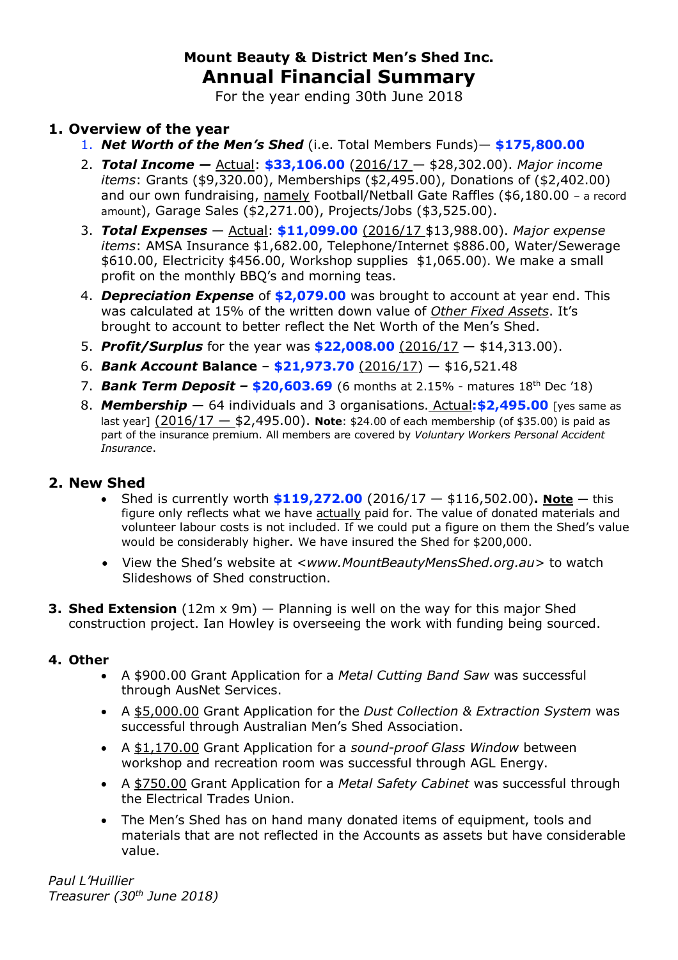# **Mount Beauty & District Men's Shed Inc. Annual Financial Summary**

For the year ending 30th June 2018

## **1. Overview of the year**

- 1. *Net Worth of the Men's Shed* (i.e. Total Members Funds)— **\$175,800.00**
- 2. *Total Income —* Actual: **\$33,106.00** (2016/17 \$28,302.00). *Major income items*: Grants (\$9,320.00), Memberships (\$2,495.00), Donations of (\$2,402.00) and our own fundraising, namely Football/Netball Gate Raffles (\$6,180.00 – a record amount), Garage Sales (\$2,271.00), Projects/Jobs (\$3,525.00).
- 3. *Total Expenses* Actual: **\$11,099.00** (2016/17 \$13,988.00). *Major expense items*: AMSA Insurance \$1,682.00, Telephone/Internet \$886.00, Water/Sewerage \$610.00, Electricity \$456.00, Workshop supplies \$1,065.00). We make a small profit on the monthly BBQ's and morning teas.
- 4. *Depreciation Expense* of **\$2,079.00** was brought to account at year end. This was calculated at 15% of the written down value of *Other Fixed Assets*. It's brought to account to better reflect the Net Worth of the Men's Shed.
- 5. *Profit/Surplus* for the year was **\$22,008.00** (2016/17 \$14,313.00).
- 6. *Bank Account* **Balance \$21,973.70** (2016/17) \$16,521.48
- 7. *Bank Term Deposit –* **\$20,603.69** (6 months at 2.15% matures 18th Dec '18)
- 8. *Membership* 64 individuals and 3 organisations. Actual**:\$2,495.00** [yes same as last year] (2016/17 — \$2,495.00). **Note**: \$24.00 of each membership (of \$35.00) is paid as part of the insurance premium. All members are covered by *Voluntary Workers Personal Accident Insurance*.

## **2. New Shed**

- Shed is currently worth **\$119,272.00** (2016/17 \$116,502.00)**. Note** this figure only reflects what we have actually paid for. The value of donated materials and volunteer labour costs is not included. If we could put a figure on them the Shed's value would be considerably higher. We have insured the Shed for \$200,000.
- View the Shed's website at *<www.MountBeautyMensShed.org.au>* to watch Slideshows of Shed construction.
- **3. Shed Extension** (12m x 9m) Planning is well on the way for this major Shed construction project. Ian Howley is overseeing the work with funding being sourced.

## **4. Other**

- A \$900.00 Grant Application for a *Metal Cutting Band Saw* was successful through AusNet Services.
- A \$5,000.00 Grant Application for the *Dust Collection & Extraction System* was successful through Australian Men's Shed Association.
- A \$1,170.00 Grant Application for a *sound-proof Glass Window* between workshop and recreation room was successful through AGL Energy.
- A \$750.00 Grant Application for a *Metal Safety Cabinet* was successful through the Electrical Trades Union.
- The Men's Shed has on hand many donated items of equipment, tools and materials that are not reflected in the Accounts as assets but have considerable value.

*Paul L'Huillier Treasurer (30th June 2018)*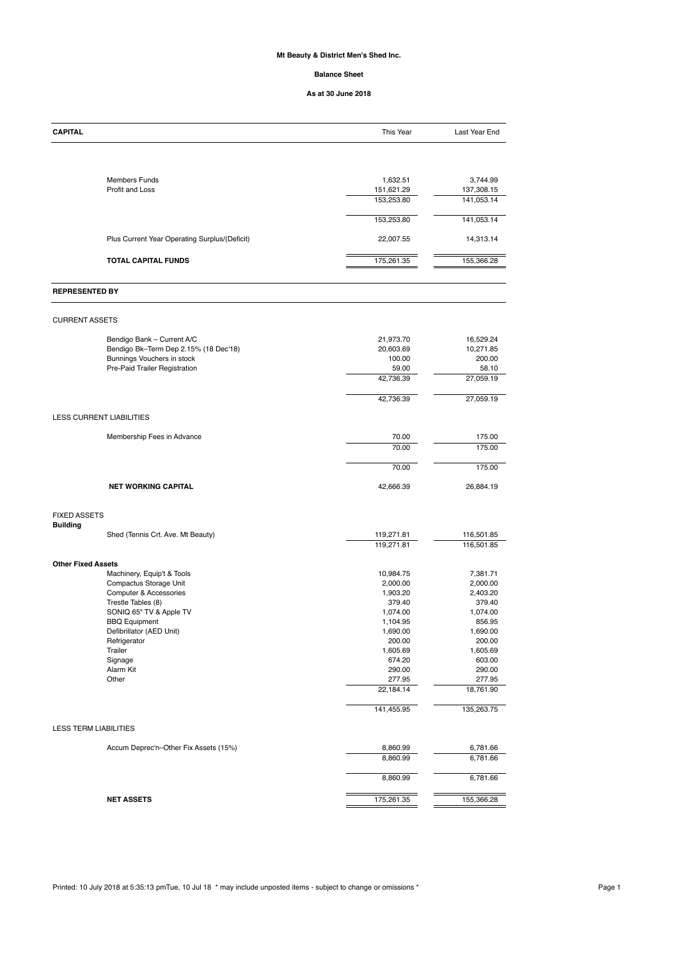### **Mt Beauty & District Men's Shed Inc.**

#### **Balance Sheet**

#### **As at 30 June 2018**

| <b>CAPITAL</b>                                              | This Year                | Last Year End            |
|-------------------------------------------------------------|--------------------------|--------------------------|
|                                                             |                          |                          |
| <b>Members Funds</b>                                        | 1,632.51                 | 3,744.99                 |
| Profit and Loss                                             | 151,621.29<br>153,253.80 | 137,308.15<br>141,053.14 |
|                                                             |                          | 141,053.14               |
|                                                             | 153,253.80               |                          |
| Plus Current Year Operating Surplus/(Deficit)               | 22,007.55                | 14,313.14                |
| <b>TOTAL CAPITAL FUNDS</b>                                  | 175,261.35               | 155,366.28               |
| <b>REPRESENTED BY</b>                                       |                          |                          |
| <b>CURRENT ASSETS</b>                                       |                          |                          |
| Bendigo Bank - Current A/C                                  | 21,973.70                | 16,529.24                |
| Bendigo Bk-Term Dep 2.15% (18 Dec'18)                       | 20,603.69                | 10,271.85                |
| Bunnings Vouchers in stock<br>Pre-Paid Trailer Registration | 100.00<br>59.00          | 200.00<br>58.10          |
|                                                             | 42,736.39                | 27,059.19                |
|                                                             | 42,736.39                | 27,059.19                |
| <b>LESS CURRENT LIABILITIES</b>                             |                          |                          |
|                                                             |                          |                          |
| Membership Fees in Advance                                  | 70.00                    | 175.00                   |
|                                                             | 70.00                    | 175.00                   |
|                                                             | 70.00                    | 175.00                   |
| <b>NET WORKING CAPITAL</b>                                  | 42,666.39                | 26,884.19                |
| <b>FIXED ASSETS</b>                                         |                          |                          |
| <b>Building</b><br>Shed (Tennis Crt. Ave. Mt Beauty)        | 119,271.81               | 116,501.85               |
|                                                             | 119,271.81               | 116,501.85               |
| <b>Other Fixed Assets</b>                                   |                          |                          |
| Machinery, Equip't & Tools                                  | 10,984.75                | 7,381.71                 |
| Compactus Storage Unit                                      | 2,000.00                 | 2,000.00                 |
| <b>Computer &amp; Accessories</b>                           | 1,903.20                 | 2,403.20                 |
| Trestle Tables (8)                                          | 379.40                   | 379.40                   |
| SONIQ 65" TV & Apple TV                                     | 1,074.00                 | 1,074.00                 |
| <b>BBQ Equipment</b>                                        | 1,104.95                 | 856.95                   |
| Defibrillator (AED Unit)                                    | 1,690.00                 | 1,690.00                 |
| Refrigerator                                                | 200.00                   | 200.00                   |
| Trailer                                                     | 1,605.69                 | 1,605.69                 |
| Signage<br>Alarm Kit                                        | 674.20<br>290.00         | 603.00                   |
| Other                                                       | 277.95                   | 290.00<br>277.95         |
|                                                             | 22,184.14                | 18,761.90                |
|                                                             | 141,455.95               | 135,263.75               |

### LESS TERM LIABILITIES

| Accum Deprec'n-Other Fix Assets (15%) | 8,860.99   | 6,781.66   |
|---------------------------------------|------------|------------|
|                                       | 8,860.99   | 6,781.66   |
|                                       | 8,860.99   | 6,781.66   |
| <b>NET ASSETS</b>                     | 175,261.35 | 155,366.28 |

Printed: 10 July 2018 at 5:35:13 pmTue, 10 Jul 18 \* may include unposted items - subject to change or omissions \*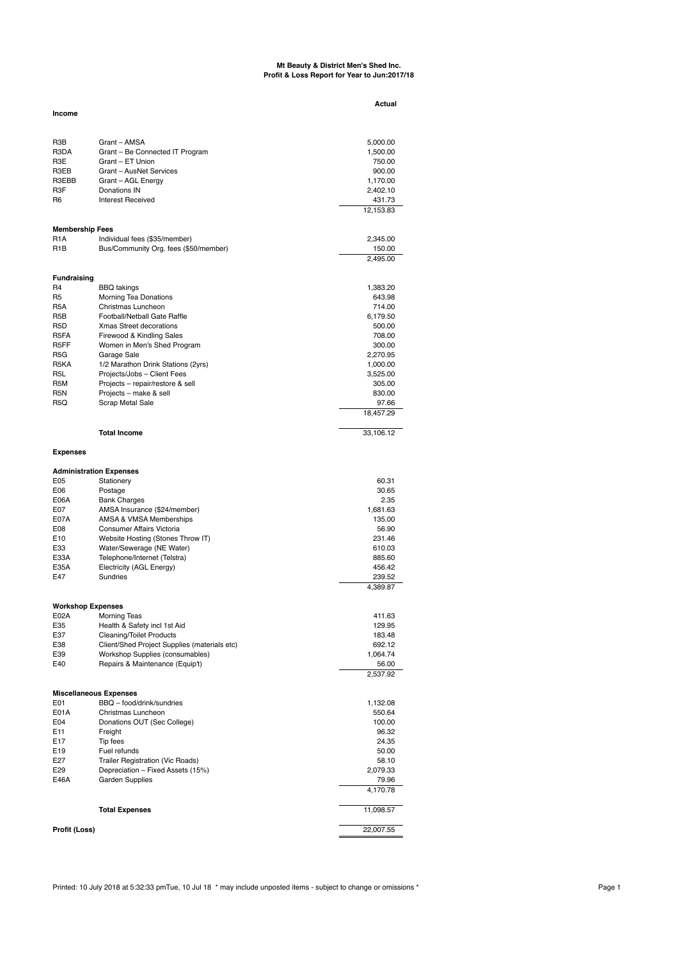#### **Mt Beauty & District Men's Shed Inc. Profit & Loss Report for Year to Jun:2017/18**

|                          |                                              | Actual    |
|--------------------------|----------------------------------------------|-----------|
| <b>Income</b>            |                                              |           |
|                          |                                              |           |
| R <sub>3</sub> B         | Grant - AMSA                                 | 5,000.00  |
| R3DA                     | Grant - Be Connected IT Program              | 1,500.00  |
| R <sub>3</sub> E         | Grant – ET Union                             | 750.00    |
| R3EB                     | Grant - AusNet Services                      | 900.00    |
| R3EBB                    | Grant - AGL Energy                           | 1,170.00  |
| R <sub>3</sub> F         | Donations IN                                 | 2,402.10  |
| R <sub>6</sub>           | <b>Interest Received</b>                     | 431.73    |
|                          |                                              | 12,153.83 |
| <b>Membership Fees</b>   |                                              |           |
| R <sub>1</sub> A         | Individual fees (\$35/member)                | 2,345.00  |
| R <sub>1</sub> B         | Bus/Community Org. fees (\$50/member)        | 150.00    |
|                          |                                              | 2,495.00  |
|                          |                                              |           |
| <b>Fundraising</b><br>R4 | <b>BBQ</b> takings                           | 1,383.20  |
| R <sub>5</sub>           | <b>Morning Tea Donations</b>                 | 643.98    |
| R <sub>5</sub> A         | Christmas Luncheon                           | 714.00    |
| R <sub>5</sub> B         | Football/Netball Gate Raffle                 | 6,179.50  |
| R <sub>5</sub> D         | <b>Xmas Street decorations</b>               | 500.00    |
| R <sub>5</sub> FA        | Firewood & Kindling Sales                    | 708.00    |
| R <sub>5</sub> FF        | Women in Men's Shed Program                  | 300.00    |
| R5G                      | Garage Sale                                  | 2,270.95  |
| R <sub>5</sub> KA        | 1/2 Marathon Drink Stations (2yrs)           | 1,000.00  |
| R <sub>5</sub> L         | Projects/Jobs - Client Fees                  | 3,525.00  |
| R <sub>5</sub> M         | Projects - repair/restore & sell             | 305.00    |
| R <sub>5</sub> N         | Projects - make & sell                       | 830.00    |
| R5Q                      | Scrap Metal Sale                             | 97.66     |
|                          |                                              | 18,457.29 |
|                          | <b>Total Income</b>                          | 33,106.12 |
|                          |                                              |           |
| <b>Expenses</b>          |                                              |           |
|                          | <b>Administration Expenses</b>               |           |
| E05                      | Stationery                                   | 60.31     |
| E <sub>06</sub>          | Postage                                      | 30.65     |
| E06A                     | <b>Bank Charges</b>                          | 2.35      |
| E07                      | AMSA Insurance (\$24/member)                 | 1,681.63  |
| E07A                     | AMSA & VMSA Memberships                      | 135.00    |
| E08                      | <b>Consumer Affairs Victoria</b>             | 56.90     |
| E <sub>10</sub>          | Website Hosting (Stones Throw IT)            | 231.46    |
| E33                      | Water/Sewerage (NE Water)                    | 610.03    |
| E33A                     | Telephone/Internet (Telstra)                 | 885.60    |
| E35A                     | Electricity (AGL Energy)                     | 456.42    |
| E47                      | Sundries                                     | 239.52    |
|                          |                                              | 4,389.87  |
| <b>Workshop Expenses</b> |                                              |           |
| E02A                     | <b>Morning Teas</b>                          | 411.63    |
| E35                      | Health & Safety incl 1st Aid                 | 129.95    |
| E37                      | <b>Cleaning/Toilet Products</b>              | 183.48    |
| E38                      | Client/Shed Project Supplies (materials etc) | 692.12    |
| E39                      | Workshop Supplies (consumables)              | 1,064.74  |
| E40                      | Repairs & Maintenance (Equip't)              | 56.00     |
|                          |                                              | 2,537.92  |
|                          | <b>Miscellaneous Expenses</b>                |           |
| E <sub>0</sub> 1         | BBQ - food/drink/sundries                    | 1,132.08  |
| E01A                     | Christmas Luncheon                           | 550.64    |

| E04                  | Donations OUT (Sec College)       | 100.00    |
|----------------------|-----------------------------------|-----------|
| E <sub>11</sub>      | Freight                           | 96.32     |
| E <sub>17</sub>      | Tip fees                          | 24.35     |
| E <sub>19</sub>      | Fuel refunds                      | 50.00     |
| E27                  | Trailer Registration (Vic Roads)  | 58.10     |
| E <sub>29</sub>      | Depreciation – Fixed Assets (15%) | 2,079.33  |
| E46A                 | <b>Garden Supplies</b>            | 79.96     |
|                      |                                   | 4,170.78  |
|                      | <b>Total Expenses</b>             | 11,098.57 |
| <b>Profit (Loss)</b> |                                   | 22,007.55 |

Printed: 10 July 2018 at 5:32:33 pmTue, 10 Jul 18 \* may include unposted items - subject to change or omissions \*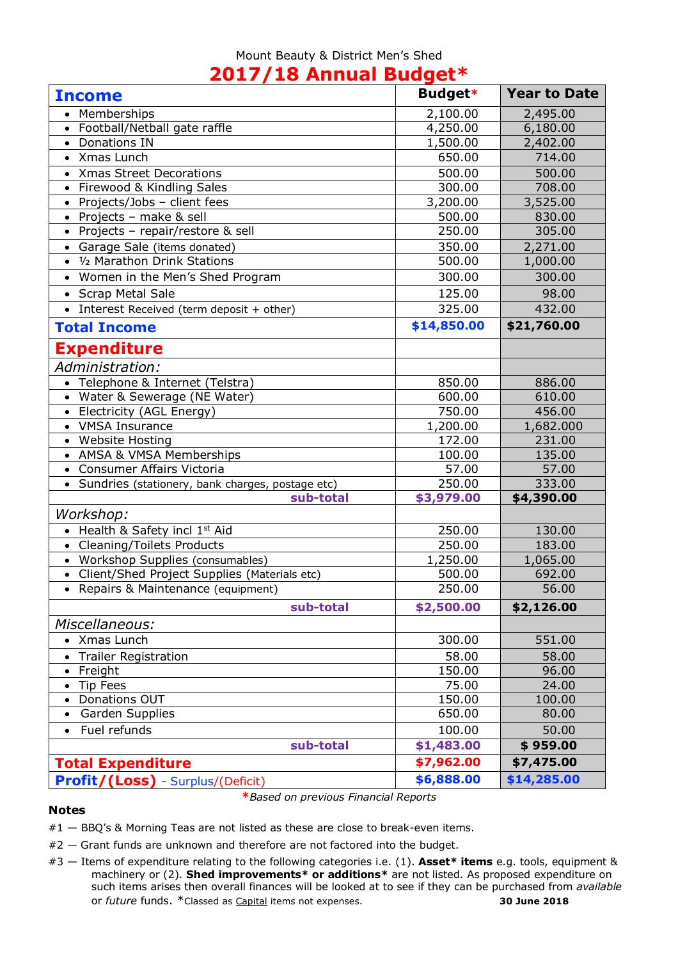### Mount Beauty & District Men's Shed **2017/18 Annual Budget\***

| <b>Income</b>                                         | <b>Budget*</b> | <b>Year to Date</b> |
|-------------------------------------------------------|----------------|---------------------|
| Memberships                                           | 2,100.00       | 2,495.00            |
| Football/Netball gate raffle                          | 4,250.00       | 6,180.00            |
| Donations IN<br>$\bullet$                             | 1,500.00       | 2,402.00            |
| Xmas Lunch                                            | 650.00         | 714.00              |
| <b>Xmas Street Decorations</b><br>$\bullet$           | 500.00         | 500.00              |
| Firewood & Kindling Sales<br>$\bullet$                | 300.00         | 708.00              |
| Projects/Jobs - client fees<br>$\bullet$              | 3,200.00       | 3,525.00            |
| Projects - make & sell                                | 500.00         | 830.00              |
| Projects - repair/restore & sell                      | 250.00         | 305.00              |
| • Garage Sale (items donated)                         | 350.00         | 2,271.00            |
| 1/2 Marathon Drink Stations<br>$\bullet$              | 500.00         | 1,000.00            |
| Women in the Men's Shed Program                       | 300.00         | 300.00              |
| <b>Scrap Metal Sale</b>                               | 125.00         | 98.00               |
| Interest Received (term deposit + other)<br>$\bullet$ | 325.00         | 432.00              |
| <b>Total Income</b>                                   | \$14,850.00    | \$21,760.00         |
| <b>Expenditure</b>                                    |                |                     |
| Administration:                                       |                |                     |
| • Telephone & Internet (Telstra)                      | 850.00         | 886.00              |
| • Water & Sewerage (NE Water)                         | 600.00         | 610.00              |
| Electricity (AGL Energy)                              | 750.00         | 456.00              |
| <b>VMSA Insurance</b>                                 | 1,200.00       | 1,682.000           |
| • Website Hosting                                     | 172.00         | 231.00              |
| • AMSA & VMSA Memberships                             | 100.00         | 135.00              |
| • Consumer Affairs Victoria                           | 57.00          | 57.00               |
| • Sundries (stationery, bank charges, postage etc)    | 250.00         | 333.00              |
| sub-total                                             | \$3,979.00     | \$4,390.00          |
| Workshop:                                             |                |                     |
| • Health & Safety incl 1st Aid                        | 250.00         | 130.00              |
| • Cleaning/Toilets Products                           | 250.00         | 183.00              |
| • Workshop Supplies (consumables)                     | 1,250.00       | 1,065.00            |
| Client/Shed Project Supplies (Materials etc)          | 500.00         | 692.00              |
| Repairs & Maintenance (equipment)<br>$\bullet$        | 250.00         | 56.00               |
| sub-total                                             | \$2,500.00     | \$2,126.00          |
| Miscellaneous:                                        |                |                     |
| • Xmas Lunch                                          | 300.00         | 551.00              |
| <b>Trailer Registration</b>                           | 58.00          | 58.00               |
| Freight                                               | 150.00         | 96.00               |
| <b>Tip Fees</b>                                       | 75.00          | 24.00               |
| Donations OUT<br>$\bullet$                            | 150.00         | 100.00              |
| Garden Supplies<br>$\bullet$                          | 650.00         | 80.00               |
| Fuel refunds<br>$\bullet$                             | 100.00         | 50.00               |
| sub-total                                             | \$1,483.00     | \$959.00            |
| <b>Total Expenditure</b>                              | \$7,962.00     | \$7,475.00          |
| <b>Profit/(Loss)</b> - Surplus/(Deficit)              | \$6,888.00     | \$14,285.00         |

### **Notes**

- **\****Based on previous Financial Reports*
- #1 BBQ's & Morning Teas are not listed as these are close to break-even items.
- #2 Grant funds are unknown and therefore are not factored into the budget.
- #3 Items of expenditure relating to the following categories i.e. (1). **Asset\* items** e.g. tools, equipment & machinery or (2). **Shed improvements\* or additions\*** are not listed. As proposed expenditure on such items arises then overall finances will be looked at to see if they can be purchased from *available* or *future* funds. \*Classed as Capital items not expenses. **30 June 2018**